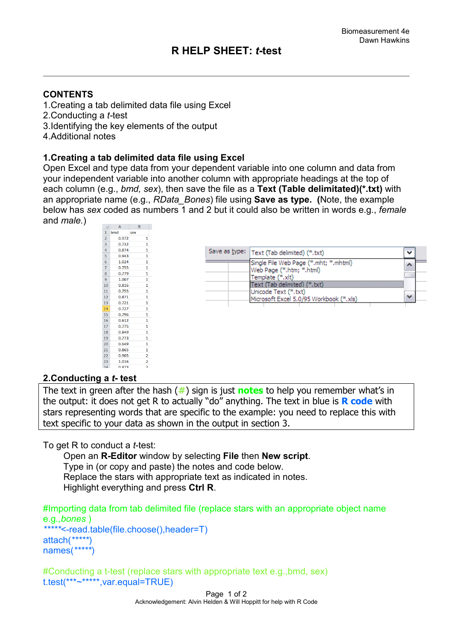# **R HELP SHEET:** *t***-test**

## **CONTENTS**

- 1.Creating a tab delimited data file using Excel
- 2.Conducting a *t-*test
- 3.Identifying the key elements of the output
- 4.Additional notes

#### **1.Creating a tab delimited data file using Excel**

Open Excel and type data from your dependent variable into one column and data from your independent variable into another column with appropriate headings at the top of each column (e.g., *bmd, sex*), then save the file as a **Text (Table delimitated)(\*.txt)** with an appropriate name (e.g., *RData\_Bones*) file using **Save as type. (**Note, the example below has *sex* coded as numbers 1 and 2 but it could also be written in words e.g., *female* and *male.*)

| ◢              | A     | B                       |  |
|----------------|-------|-------------------------|--|
| 1              | bmd   | sex                     |  |
| $\overline{2}$ | 0.972 | 1                       |  |
| 3              | 0.732 | 1                       |  |
| 4              | 0.874 | 1                       |  |
| 5              | 0.943 | 1                       |  |
| 6              | 1.024 | $\mathbf{1}$            |  |
| 7              | 0.755 | 1                       |  |
| 8              | 0.779 | 1                       |  |
| 9              | 1.007 | 1                       |  |
| 10             | 0.816 | 1                       |  |
| 11             | 0.755 | 1                       |  |
| 12             | 0.871 | $\mathbf{1}$            |  |
| 13             | 0.721 | 1                       |  |
| 14             | 0.727 | 1                       |  |
| 15             | 0.796 | 1                       |  |
| 16             | 0.612 | $\mathbf{1}$            |  |
| 17             | 0.775 | 1                       |  |
| 18             | 0.849 | 1                       |  |
| 19             | 0.773 | 1                       |  |
| 20             | 0.649 | 1                       |  |
| 21             | 0.865 | 1                       |  |
| 22             | 0.905 | 2                       |  |
| 23             | 1.016 | $\overline{\mathbf{2}}$ |  |
| 24             | 0.873 | b                       |  |

|  | Save as type:   Text (Tab delimited) (*.txt)                      |  |
|--|-------------------------------------------------------------------|--|
|  | Single File Web Page (*.mht; *.mhtml)<br>Web Page (*.htm; *.html) |  |
|  | Template (*.xlt)                                                  |  |
|  | Text (Tab delimited) (*.txt)<br>Unicode Text (*.txt)              |  |
|  | Microsoft Excel 5.0/95 Workbook (*.xls)                           |  |
|  |                                                                   |  |

#### **2.Conducting a** *t***- test**

The text in green after the hash (**#**) sign is just **notes** to help you remember what's in the output: it does not get R to actually "do" anything. The text in blue is **R code** with stars representing words that are specific to the example: you need to replace this with text specific to your data as shown in the output in section 3.

To get R to conduct a *t*-test:

 Open an **R-Editor** window by selecting **File** then **New script**. Type in (or copy and paste) the notes and code below. Replace the stars with appropriate text as indicated in notes. Highlight everything and press **Ctrl R**.

```
#Importing data from tab delimited file (replace stars with an appropriate object name
e.g.,bones )
   *****<-read.table(file.choose(),header=T)
attach(*****)
names(*****)
```
#Conducting a t-test (replace stars with appropriate text e.g.,bmd, sex) t.test(\*\*\*~\*\*\*\*\*,var.equal=TRUE)